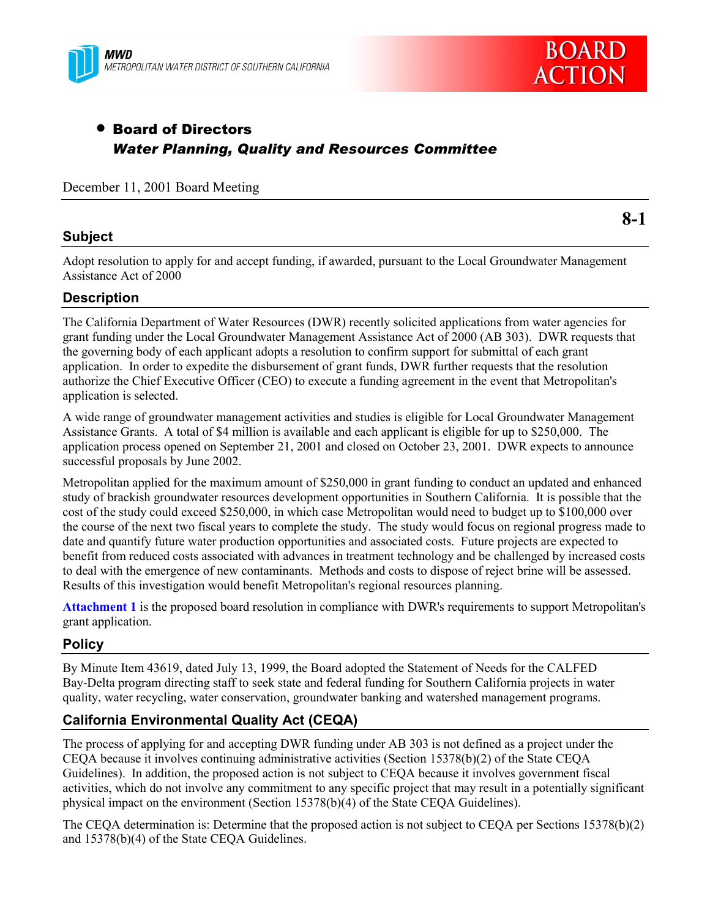



# • Board of Directors *Water Planning, Quality and Resources Committee*

December 11, 2001 Board Meeting

### **Subject**

**8-1**

Adopt resolution to apply for and accept funding, if awarded, pursuant to the Local Groundwater Management Assistance Act of 2000

### **Description**

The California Department of Water Resources (DWR) recently solicited applications from water agencies for grant funding under the Local Groundwater Management Assistance Act of 2000 (AB 303). DWR requests that the governing body of each applicant adopts a resolution to confirm support for submittal of each grant application. In order to expedite the disbursement of grant funds, DWR further requests that the resolution authorize the Chief Executive Officer (CEO) to execute a funding agreement in the event that Metropolitan's application is selected.

A wide range of groundwater management activities and studies is eligible for Local Groundwater Management Assistance Grants. A total of \$4 million is available and each applicant is eligible for up to \$250,000. The application process opened on September 21, 2001 and closed on October 23, 2001. DWR expects to announce successful proposals by June 2002.

Metropolitan applied for the maximum amount of \$250,000 in grant funding to conduct an updated and enhanced study of brackish groundwater resources development opportunities in Southern California. It is possible that the cost of the study could exceed \$250,000, in which case Metropolitan would need to budget up to \$100,000 over the course of the next two fiscal years to complete the study. The study would focus on regional progress made to date and quantify future water production opportunities and associated costs. Future projects are expected to benefit from reduced costs associated with advances in treatment technology and be challenged by increased costs to deal with the emergence of new contaminants. Methods and costs to dispose of reject brine will be assessed. Results of this investigation would benefit Metropolitan's regional resources planning.

**Attachment 1** is the proposed board resolution in compliance with DWR's requirements to support Metropolitan's grant application.

## **Policy**

By Minute Item 43619, dated July 13, 1999, the Board adopted the Statement of Needs for the CALFED Bay-Delta program directing staff to seek state and federal funding for Southern California projects in water quality, water recycling, water conservation, groundwater banking and watershed management programs.

### **California Environmental Quality Act (CEQA)**

The process of applying for and accepting DWR funding under AB 303 is not defined as a project under the CEQA because it involves continuing administrative activities (Section 15378(b)(2) of the State CEQA Guidelines). In addition, the proposed action is not subject to CEQA because it involves government fiscal activities, which do not involve any commitment to any specific project that may result in a potentially significant physical impact on the environment (Section 15378(b)(4) of the State CEQA Guidelines).

The CEQA determination is: Determine that the proposed action is not subject to CEQA per Sections 15378(b)(2) and 15378(b)(4) of the State CEQA Guidelines.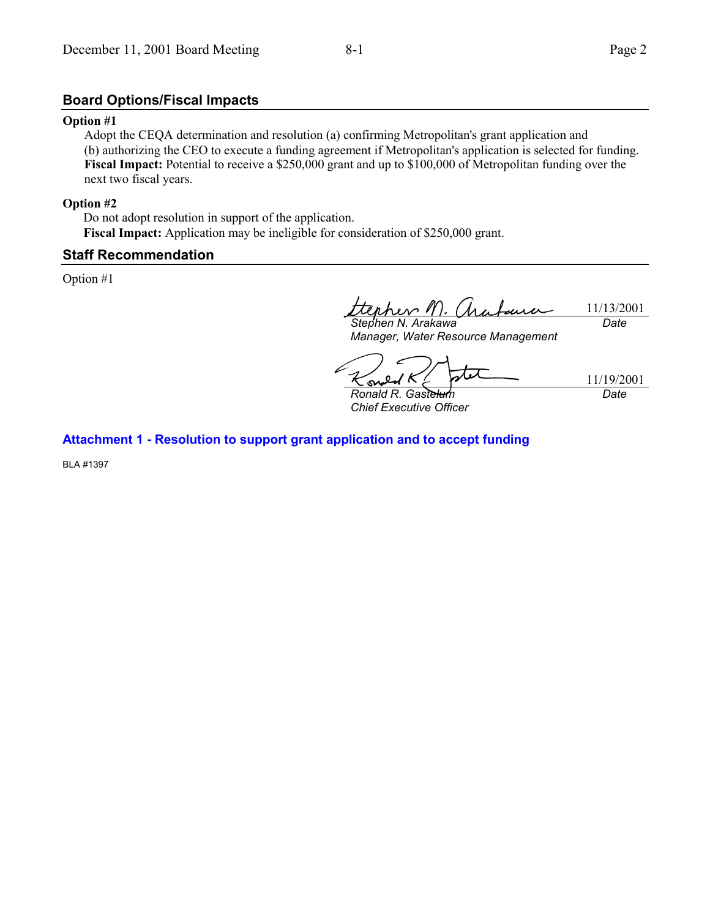### **Board Options/Fiscal Impacts**

#### **Option #1**

Adopt the CEQA determination and resolution (a) confirming Metropolitan's grant application and (b) authorizing the CEO to execute a funding agreement if Metropolitan's application is selected for funding. **Fiscal Impact:** Potential to receive a \$250,000 grant and up to \$100,000 of Metropolitan funding over the next two fiscal years.

#### **Option #2**

Do not adopt resolution in support of the application. **Fiscal Impact:** Application may be ineligible for consideration of \$250,000 grant.

#### **Staff Recommendation**

Option #1

11/13/2001 rhev 11) *Stephen N. Arakawa Date*

*Manager, Water Resource Management*

11/19/2001 su *Ronald R. Gastelum*

*Chief Executive Officer*

*Date*

### **Attachment 1 - Resolution to support grant application and to accept funding**

BLA #1397